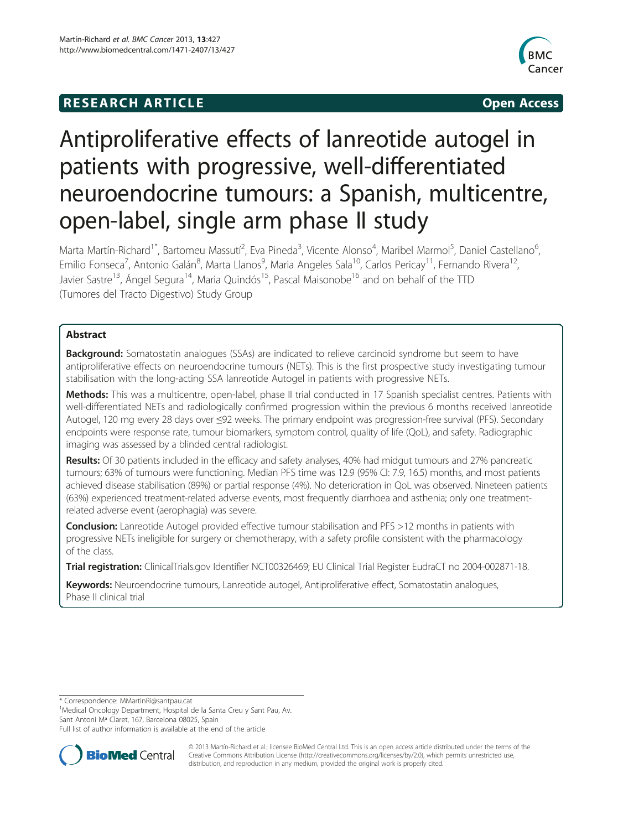## **RESEARCH ARTICLE CONSUMING A RESEARCH ARTICLE**



# Antiproliferative effects of lanreotide autogel in patients with progressive, well-differentiated neuroendocrine tumours: a Spanish, multicentre, open-label, single arm phase II study

Marta Martín-Richard<sup>1\*</sup>, Bartomeu Massutí<sup>2</sup>, Eva Pineda<sup>3</sup>, Vicente Alonso<sup>4</sup>, Maribel Marmol<sup>5</sup>, Daniel Castellano<sup>6</sup> , Emilio Fonseca<sup>7</sup>, Antonio Galán<sup>8</sup>, Marta Llanos<sup>9</sup>, Maria Angeles Sala<sup>10</sup>, Carlos Pericay<sup>11</sup>, Fernando Rivera<sup>12</sup>, Javier Sastre<sup>13</sup>, Ángel Segura<sup>14</sup>, Maria Quindós<sup>15</sup>, Pascal Maisonobe<sup>16</sup> and on behalf of the TTD (Tumores del Tracto Digestivo) Study Group

## Abstract

Background: Somatostatin analogues (SSAs) are indicated to relieve carcinoid syndrome but seem to have antiproliferative effects on neuroendocrine tumours (NETs). This is the first prospective study investigating tumour stabilisation with the long-acting SSA lanreotide Autogel in patients with progressive NETs.

Methods: This was a multicentre, open-label, phase II trial conducted in 17 Spanish specialist centres. Patients with well-differentiated NETs and radiologically confirmed progression within the previous 6 months received lanreotide Autogel, 120 mg every 28 days over ≤92 weeks. The primary endpoint was progression-free survival (PFS). Secondary endpoints were response rate, tumour biomarkers, symptom control, quality of life (QoL), and safety. Radiographic imaging was assessed by a blinded central radiologist.

Results: Of 30 patients included in the efficacy and safety analyses, 40% had midgut tumours and 27% pancreatic tumours; 63% of tumours were functioning. Median PFS time was 12.9 (95% CI: 7.9, 16.5) months, and most patients achieved disease stabilisation (89%) or partial response (4%). No deterioration in QoL was observed. Nineteen patients (63%) experienced treatment-related adverse events, most frequently diarrhoea and asthenia; only one treatmentrelated adverse event (aerophagia) was severe.

**Conclusion:** Lanreotide Autogel provided effective tumour stabilisation and PFS >12 months in patients with progressive NETs ineligible for surgery or chemotherapy, with a safety profile consistent with the pharmacology of the class.

Trial registration: ClinicalTrials.gov Identifier [NCT00326469;](http://clinicaltrials.gov/show/NCT00326469) EU Clinical Trial Register EudraCT no 2004-002871-18.

Keywords: Neuroendocrine tumours, Lanreotide autogel, Antiproliferative effect, Somatostatin analogues, Phase II clinical trial

\* Correspondence: [MMartinRi@santpau.cat](mailto:MMartinRi@santpau.cat) <sup>1</sup>

<sup>1</sup>Medical Oncology Department, Hospital de la Santa Creu y Sant Pau, Av. Sant Antoni Mª Claret, 167, Barcelona 08025, Spain

Full list of author information is available at the end of the article



© 2013 Martín-Richard et al.; licensee BioMed Central Ltd. This is an open access article distributed under the terms of the Creative Commons Attribution License (<http://creativecommons.org/licenses/by/2.0>), which permits unrestricted use, distribution, and reproduction in any medium, provided the original work is properly cited.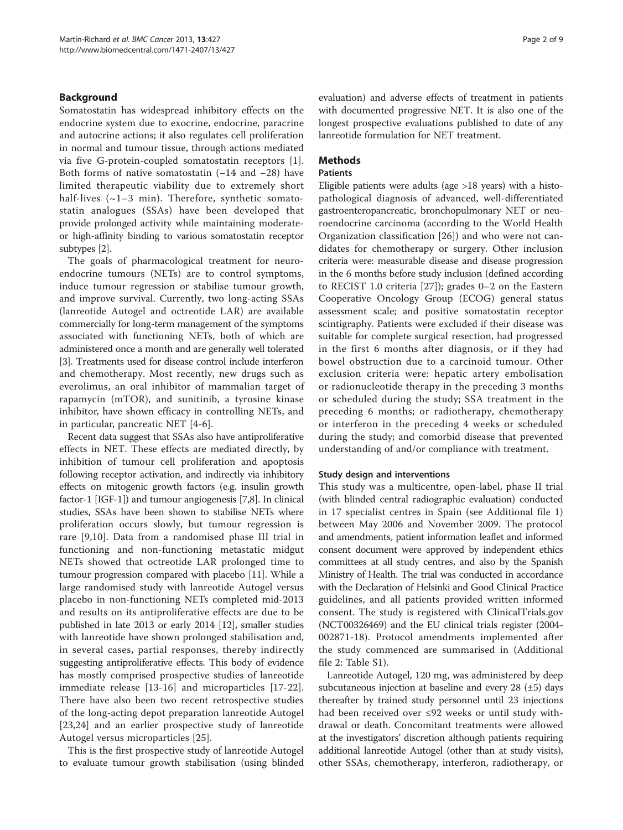## Background

Somatostatin has widespread inhibitory effects on the endocrine system due to exocrine, endocrine, paracrine and autocrine actions; it also regulates cell proliferation in normal and tumour tissue, through actions mediated via five G-protein-coupled somatostatin receptors [\[1](#page-7-0)]. Both forms of native somatostatin (−14 and −28) have limited therapeutic viability due to extremely short half-lives  $(-1-3 \text{ min})$ . Therefore, synthetic somatostatin analogues (SSAs) have been developed that provide prolonged activity while maintaining moderateor high-affinity binding to various somatostatin receptor subtypes [[2\]](#page-7-0).

The goals of pharmacological treatment for neuroendocrine tumours (NETs) are to control symptoms, induce tumour regression or stabilise tumour growth, and improve survival. Currently, two long-acting SSAs (lanreotide Autogel and octreotide LAR) are available commercially for long-term management of the symptoms associated with functioning NETs, both of which are administered once a month and are generally well tolerated [[3](#page-7-0)]. Treatments used for disease control include interferon and chemotherapy. Most recently, new drugs such as everolimus, an oral inhibitor of mammalian target of rapamycin (mTOR), and sunitinib, a tyrosine kinase inhibitor, have shown efficacy in controlling NETs, and in particular, pancreatic NET [[4-6](#page-7-0)].

Recent data suggest that SSAs also have antiproliferative effects in NET. These effects are mediated directly, by inhibition of tumour cell proliferation and apoptosis following receptor activation, and indirectly via inhibitory effects on mitogenic growth factors (e.g. insulin growth factor-1 [IGF-1]) and tumour angiogenesis [[7,8\]](#page-7-0). In clinical studies, SSAs have been shown to stabilise NETs where proliferation occurs slowly, but tumour regression is rare [[9,10](#page-7-0)]. Data from a randomised phase III trial in functioning and non-functioning metastatic midgut NETs showed that octreotide LAR prolonged time to tumour progression compared with placebo [[11](#page-7-0)]. While a large randomised study with lanreotide Autogel versus placebo in non-functioning NETs completed mid-2013 and results on its antiproliferative effects are due to be published in late 2013 or early 2014 [\[12\]](#page-7-0), smaller studies with lanreotide have shown prolonged stabilisation and, in several cases, partial responses, thereby indirectly suggesting antiproliferative effects. This body of evidence has mostly comprised prospective studies of lanreotide immediate release [[13-16\]](#page-7-0) and microparticles [\[17](#page-7-0)-[22](#page-7-0)]. There have also been two recent retrospective studies of the long-acting depot preparation lanreotide Autogel [[23,24](#page-7-0)] and an earlier prospective study of lanreotide Autogel versus microparticles [\[25](#page-7-0)].

This is the first prospective study of lanreotide Autogel to evaluate tumour growth stabilisation (using blinded

evaluation) and adverse effects of treatment in patients with documented progressive NET. It is also one of the longest prospective evaluations published to date of any lanreotide formulation for NET treatment.

## Methods

## Patients

Eligible patients were adults (age >18 years) with a histopathological diagnosis of advanced, well-differentiated gastroenteropancreatic, bronchopulmonary NET or neuroendocrine carcinoma (according to the World Health Organization classification [\[26](#page-7-0)]) and who were not candidates for chemotherapy or surgery. Other inclusion criteria were: measurable disease and disease progression in the 6 months before study inclusion (defined according to RECIST 1.0 criteria [\[27](#page-7-0)]); grades 0–2 on the Eastern Cooperative Oncology Group (ECOG) general status assessment scale; and positive somatostatin receptor scintigraphy. Patients were excluded if their disease was suitable for complete surgical resection, had progressed in the first 6 months after diagnosis, or if they had bowel obstruction due to a carcinoid tumour. Other exclusion criteria were: hepatic artery embolisation or radionucleotide therapy in the preceding 3 months or scheduled during the study; SSA treatment in the preceding 6 months; or radiotherapy, chemotherapy or interferon in the preceding 4 weeks or scheduled during the study; and comorbid disease that prevented understanding of and/or compliance with treatment.

#### Study design and interventions

This study was a multicentre, open-label, phase II trial (with blinded central radiographic evaluation) conducted in 17 specialist centres in Spain (see Additional file [1](#page-6-0)) between May 2006 and November 2009. The protocol and amendments, patient information leaflet and informed consent document were approved by independent ethics committees at all study centres, and also by the Spanish Ministry of Health. The trial was conducted in accordance with the Declaration of Helsinki and Good Clinical Practice guidelines, and all patients provided written informed consent. The study is registered with ClinicalTrials.gov (NCT00326469) and the EU clinical trials register (2004- 002871-18). Protocol amendments implemented after the study commenced are summarised in (Additional file [2](#page-6-0): Table S1).

Lanreotide Autogel, 120 mg, was administered by deep subcutaneous injection at baseline and every 28  $(\pm 5)$  days thereafter by trained study personnel until 23 injections had been received over ≤92 weeks or until study withdrawal or death. Concomitant treatments were allowed at the investigators' discretion although patients requiring additional lanreotide Autogel (other than at study visits), other SSAs, chemotherapy, interferon, radiotherapy, or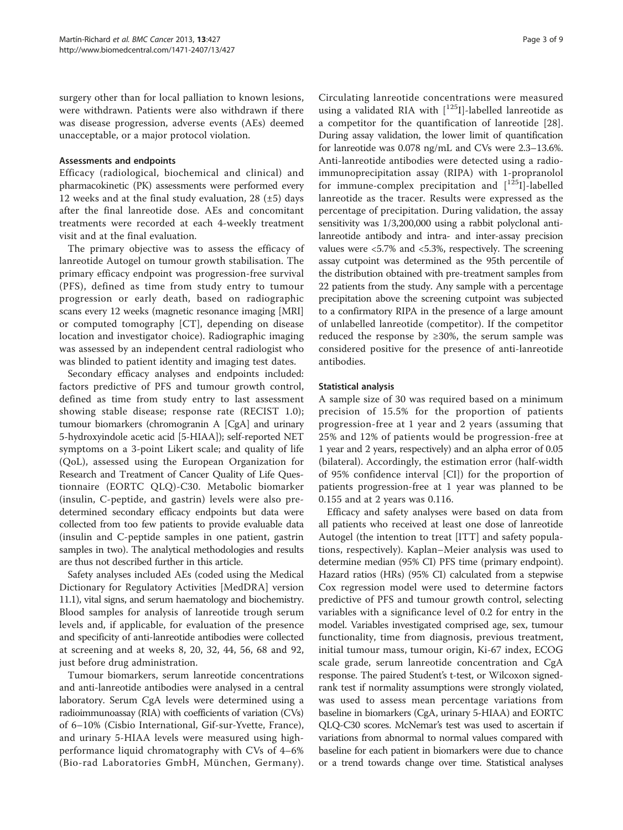surgery other than for local palliation to known lesions, were withdrawn. Patients were also withdrawn if there was disease progression, adverse events (AEs) deemed unacceptable, or a major protocol violation.

### Assessments and endpoints

Efficacy (radiological, biochemical and clinical) and pharmacokinetic (PK) assessments were performed every 12 weeks and at the final study evaluation, 28  $(\pm 5)$  days after the final lanreotide dose. AEs and concomitant treatments were recorded at each 4-weekly treatment visit and at the final evaluation.

The primary objective was to assess the efficacy of lanreotide Autogel on tumour growth stabilisation. The primary efficacy endpoint was progression-free survival (PFS), defined as time from study entry to tumour progression or early death, based on radiographic scans every 12 weeks (magnetic resonance imaging [MRI] or computed tomography [CT], depending on disease location and investigator choice). Radiographic imaging was assessed by an independent central radiologist who was blinded to patient identity and imaging test dates.

Secondary efficacy analyses and endpoints included: factors predictive of PFS and tumour growth control, defined as time from study entry to last assessment showing stable disease; response rate (RECIST 1.0); tumour biomarkers (chromogranin A [CgA] and urinary 5-hydroxyindole acetic acid [5-HIAA]); self-reported NET symptoms on a 3-point Likert scale; and quality of life (QoL), assessed using the European Organization for Research and Treatment of Cancer Quality of Life Questionnaire (EORTC QLQ)-C30. Metabolic biomarker (insulin, C-peptide, and gastrin) levels were also predetermined secondary efficacy endpoints but data were collected from too few patients to provide evaluable data (insulin and C-peptide samples in one patient, gastrin samples in two). The analytical methodologies and results are thus not described further in this article.

Safety analyses included AEs (coded using the Medical Dictionary for Regulatory Activities [MedDRA] version 11.1), vital signs, and serum haematology and biochemistry. Blood samples for analysis of lanreotide trough serum levels and, if applicable, for evaluation of the presence and specificity of anti-lanreotide antibodies were collected at screening and at weeks 8, 20, 32, 44, 56, 68 and 92, just before drug administration.

Tumour biomarkers, serum lanreotide concentrations and anti-lanreotide antibodies were analysed in a central laboratory. Serum CgA levels were determined using a radioimmunoassay (RIA) with coefficients of variation (CVs) of 6–10% (Cisbio International, Gif-sur-Yvette, France), and urinary 5-HIAA levels were measured using highperformance liquid chromatography with CVs of 4–6% (Bio-rad Laboratories GmbH, München, Germany).

Circulating lanreotide concentrations were measured using a validated RIA with [<sup>125</sup>I]-labelled lanreotide as a competitor for the quantification of lanreotide [[28](#page-7-0)]. During assay validation, the lower limit of quantification for lanreotide was 0.078 ng/mL and CVs were 2.3–13.6%. Anti-lanreotide antibodies were detected using a radioimmunoprecipitation assay (RIPA) with 1-propranolol for immune-complex precipitation and  $[125]$ -labelled lanreotide as the tracer. Results were expressed as the percentage of precipitation. During validation, the assay sensitivity was 1/3,200,000 using a rabbit polyclonal antilanreotide antibody and intra- and inter-assay precision values were <5.7% and <5.3%, respectively. The screening assay cutpoint was determined as the 95th percentile of the distribution obtained with pre-treatment samples from 22 patients from the study. Any sample with a percentage precipitation above the screening cutpoint was subjected to a confirmatory RIPA in the presence of a large amount of unlabelled lanreotide (competitor). If the competitor reduced the response by  $\geq$  30%, the serum sample was considered positive for the presence of anti-lanreotide antibodies.

## Statistical analysis

A sample size of 30 was required based on a minimum precision of 15.5% for the proportion of patients progression-free at 1 year and 2 years (assuming that 25% and 12% of patients would be progression-free at 1 year and 2 years, respectively) and an alpha error of 0.05 (bilateral). Accordingly, the estimation error (half-width of 95% confidence interval [CI]) for the proportion of patients progression-free at 1 year was planned to be 0.155 and at 2 years was 0.116.

Efficacy and safety analyses were based on data from all patients who received at least one dose of lanreotide Autogel (the intention to treat [ITT] and safety populations, respectively). Kaplan–Meier analysis was used to determine median (95% CI) PFS time (primary endpoint). Hazard ratios (HRs) (95% CI) calculated from a stepwise Cox regression model were used to determine factors predictive of PFS and tumour growth control, selecting variables with a significance level of 0.2 for entry in the model. Variables investigated comprised age, sex, tumour functionality, time from diagnosis, previous treatment, initial tumour mass, tumour origin, Ki-67 index, ECOG scale grade, serum lanreotide concentration and CgA response. The paired Student's t-test, or Wilcoxon signedrank test if normality assumptions were strongly violated, was used to assess mean percentage variations from baseline in biomarkers (CgA, urinary 5-HIAA) and EORTC QLQ-C30 scores. McNemar's test was used to ascertain if variations from abnormal to normal values compared with baseline for each patient in biomarkers were due to chance or a trend towards change over time. Statistical analyses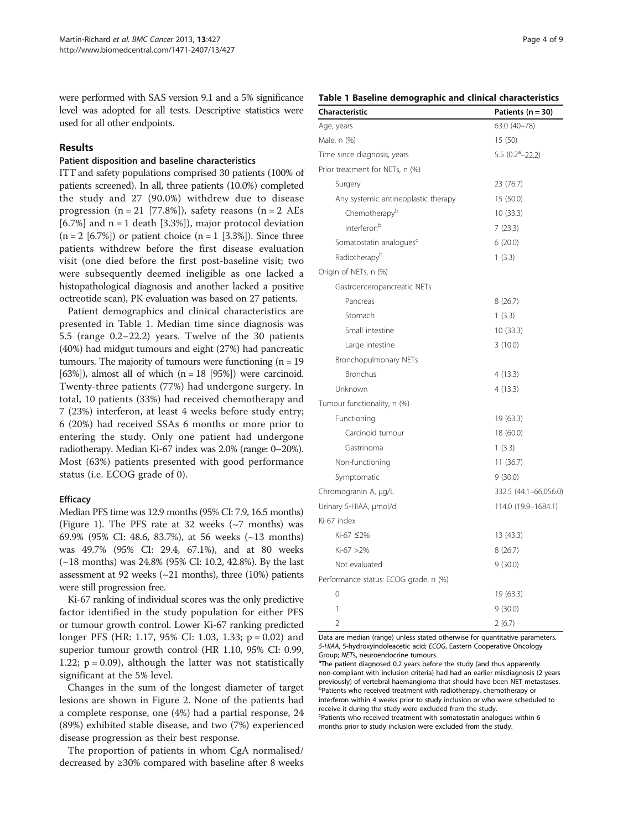were performed with SAS version 9.1 and a 5% significance level was adopted for all tests. Descriptive statistics were used for all other endpoints.

## Results

## Patient disposition and baseline characteristics

ITT and safety populations comprised 30 patients (100% of patients screened). In all, three patients (10.0%) completed the study and 27 (90.0%) withdrew due to disease progression  $(n = 21$  [77.8%]), safety reasons  $(n = 2$  AEs [6.7%] and  $n = 1$  death [3.3%]), major protocol deviation  $(n = 2 [6.7\%)$  or patient choice  $(n = 1 [3.3\%])$ . Since three patients withdrew before the first disease evaluation visit (one died before the first post-baseline visit; two were subsequently deemed ineligible as one lacked a histopathological diagnosis and another lacked a positive octreotide scan), PK evaluation was based on 27 patients.

Patient demographics and clinical characteristics are presented in Table 1. Median time since diagnosis was 5.5 (range 0.2–22.2) years. Twelve of the 30 patients (40%) had midgut tumours and eight (27%) had pancreatic tumours. The majority of tumours were functioning  $(n = 19)$ [63%]), almost all of which  $(n = 18$  [95%]) were carcinoid. Twenty-three patients (77%) had undergone surgery. In total, 10 patients (33%) had received chemotherapy and 7 (23%) interferon, at least 4 weeks before study entry; 6 (20%) had received SSAs 6 months or more prior to entering the study. Only one patient had undergone radiotherapy. Median Ki-67 index was 2.0% (range: 0–20%). Most (63%) patients presented with good performance status (i.e. ECOG grade of 0).

## **Efficacy**

Median PFS time was 12.9 months (95% CI: 7.9, 16.5 months) (Figure [1](#page-4-0)). The PFS rate at 32 weeks (~7 months) was 69.9% (95% CI: 48.6, 83.7%), at 56 weeks (~13 months) was 49.7% (95% CI: 29.4, 67.1%), and at 80 weeks (~18 months) was 24.8% (95% CI: 10.2, 42.8%). By the last assessment at 92 weeks  $(\sim 21$  months), three (10%) patients were still progression free.

Ki-67 ranking of individual scores was the only predictive factor identified in the study population for either PFS or tumour growth control. Lower Ki-67 ranking predicted longer PFS (HR: 1.17, 95% CI: 1.03, 1.33; p = 0.02) and superior tumour growth control (HR 1.10, 95% CI: 0.99, 1.22;  $p = 0.09$ ), although the latter was not statistically significant at the 5% level.

Changes in the sum of the longest diameter of target lesions are shown in Figure [2.](#page-4-0) None of the patients had a complete response, one (4%) had a partial response, 24 (89%) exhibited stable disease, and two (7%) experienced disease progression as their best response.

The proportion of patients in whom CgA normalised/ decreased by ≥30% compared with baseline after 8 weeks

| Table 1 Baseline demographic and clinical characteristics |  |
|-----------------------------------------------------------|--|
|-----------------------------------------------------------|--|

| Characteristic                        | Patients (n = 30)     |  |  |
|---------------------------------------|-----------------------|--|--|
| Age, years                            | 63.0 (40-78)          |  |  |
| Male, n (%)                           | 15 (50)               |  |  |
| Time since diagnosis, years           | 5.5 $(0.2a-22.2)$     |  |  |
| Prior treatment for NETs, n (%)       |                       |  |  |
| Surgery                               | 23 (76.7)             |  |  |
| Any systemic antineoplastic therapy   | 15 (50.0)             |  |  |
| Chemotherapyb                         | 10(33.3)              |  |  |
| Interferon <sup>b</sup>               | 7(23.3)               |  |  |
| Somatostatin analogues <sup>c</sup>   | 6(20.0)               |  |  |
| Radiotherapyb                         | 1(3.3)                |  |  |
| Origin of NETs, n (%)                 |                       |  |  |
| Gastroenteropancreatic NETs           |                       |  |  |
| Pancreas                              | 8(26.7)               |  |  |
| Stomach                               | 1(3.3)                |  |  |
| Small intestine                       | 10 (33.3)             |  |  |
| Large intestine                       | 3(10.0)               |  |  |
| Bronchopulmonary NETs                 |                       |  |  |
| <b>Bronchus</b>                       | 4(13.3)               |  |  |
| Unknown                               | 4(13.3)               |  |  |
| Tumour functionality, n (%)           |                       |  |  |
| Functioning                           | 19 (63.3)             |  |  |
| Carcinoid tumour                      | 18 (60.0)             |  |  |
| Gastrinoma                            | 1(3.3)                |  |  |
| Non-functioning                       | 11(36.7)              |  |  |
| Symptomatic                           | 9(30.0)               |  |  |
| Chromogranin A, µg/L                  | 332.5 (44.1-66,056.0) |  |  |
| Urinary 5-HIAA, µmol/d                | 114.0 (19.9-1684.1)   |  |  |
| Ki-67 index                           |                       |  |  |
| Ki-67 ≤2%                             | 13 (43.3)             |  |  |
| $Ki-67 > 2%$                          | 8(26.7)               |  |  |
| Not evaluated                         | 9(30.0)               |  |  |
| Performance status: ECOG grade, n (%) |                       |  |  |
| 0                                     | 19 (63.3)             |  |  |
| 1                                     | 9(30.0)               |  |  |
| $\overline{2}$                        | 2(6.7)                |  |  |

Data are median (range) unless stated otherwise for quantitative parameters. 5-HIAA, 5-hydroxyindoleacetic acid; ECOG, Eastern Cooperative Oncology Group; NETs, neuroendocrine tumours.

<sup>a</sup>The patient diagnosed 0.2 years before the study (and thus apparently non-compliant with inclusion criteria) had had an earlier misdiagnosis (2 years previously) of vertebral haemangioma that should have been NET metastases. bPatients who received treatment with radiotherapy, chemotherapy or interferon within 4 weeks prior to study inclusion or who were scheduled to receive it during the study were excluded from the study. <sup>c</sup>Patients who received treatment with somatostatin analogues within 6 months prior to study inclusion were excluded from the study.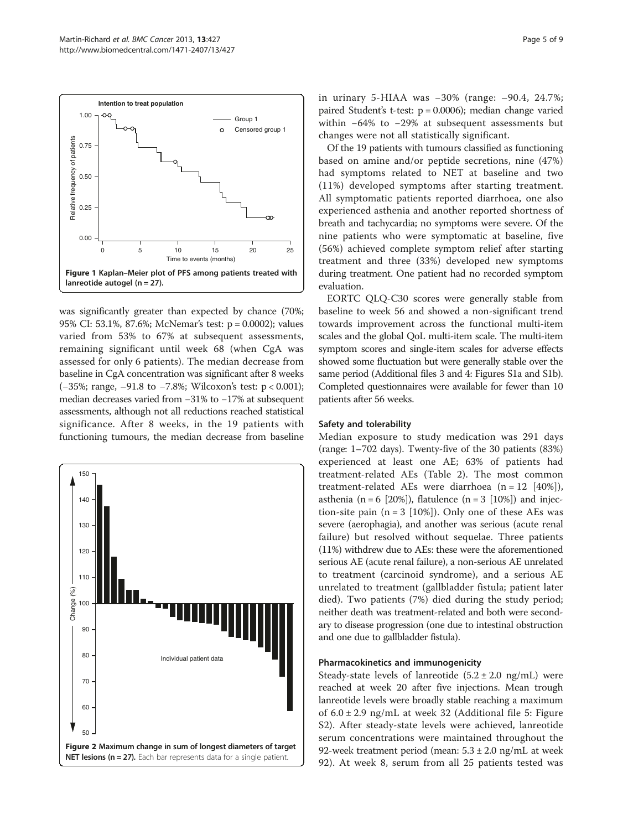was significantly greater than expected by chance (70%; 95% CI: 53.1%, 87.6%; McNemar's test: p = 0.0002); values varied from 53% to 67% at subsequent assessments, remaining significant until week 68 (when CgA was assessed for only 6 patients). The median decrease from baseline in CgA concentration was significant after 8 weeks (−35%; range, –91.8 to −7.8%; Wilcoxon's test: p < 0.001); median decreases varied from −31% to −17% at subsequent assessments, although not all reductions reached statistical significance. After 8 weeks, in the 19 patients with functioning tumours, the median decrease from baseline



in urinary 5-HIAA was −30% (range: –90.4, 24.7%; paired Student's t-test: p = 0.0006); median change varied within −64% to −29% at subsequent assessments but changes were not all statistically significant.

Of the 19 patients with tumours classified as functioning based on amine and/or peptide secretions, nine (47%) had symptoms related to NET at baseline and two (11%) developed symptoms after starting treatment. All symptomatic patients reported diarrhoea, one also experienced asthenia and another reported shortness of breath and tachycardia; no symptoms were severe. Of the nine patients who were symptomatic at baseline, five (56%) achieved complete symptom relief after starting treatment and three (33%) developed new symptoms during treatment. One patient had no recorded symptom evaluation.

EORTC QLQ-C30 scores were generally stable from baseline to week 56 and showed a non-significant trend towards improvement across the functional multi-item scales and the global QoL multi-item scale. The multi-item symptom scores and single-item scales for adverse effects showed some fluctuation but were generally stable over the same period (Additional files [3](#page-6-0) and [4:](#page-6-0) Figures S1a and S1b). Completed questionnaires were available for fewer than 10 patients after 56 weeks.

#### Safety and tolerability

Median exposure to study medication was 291 days (range: 1–702 days). Twenty-five of the 30 patients (83%) experienced at least one AE; 63% of patients had treatment-related AEs (Table [2](#page-5-0)). The most common treatment-related AEs were diarrhoea  $(n = 12 [40\%])$ , asthenia (n = 6 [20%]), flatulence (n = 3 [10%]) and injection-site pain  $(n = 3 [10\%])$ . Only one of these AEs was severe (aerophagia), and another was serious (acute renal failure) but resolved without sequelae. Three patients (11%) withdrew due to AEs: these were the aforementioned serious AE (acute renal failure), a non-serious AE unrelated to treatment (carcinoid syndrome), and a serious AE unrelated to treatment (gallbladder fistula; patient later died). Two patients (7%) died during the study period; neither death was treatment-related and both were secondary to disease progression (one due to intestinal obstruction and one due to gallbladder fistula).

#### Pharmacokinetics and immunogenicity

Steady-state levels of lanreotide  $(5.2 \pm 2.0 \text{ ng/mL})$  were reached at week 20 after five injections. Mean trough lanreotide levels were broadly stable reaching a maximum of  $6.0 \pm 2.9$  ng/mL at week 32 (Additional file [5:](#page-6-0) Figure S2). After steady-state levels were achieved, lanreotide serum concentrations were maintained throughout the 92-week treatment period (mean:  $5.3 \pm 2.0$  ng/mL at week 92). At week 8, serum from all 25 patients tested was

<span id="page-4-0"></span>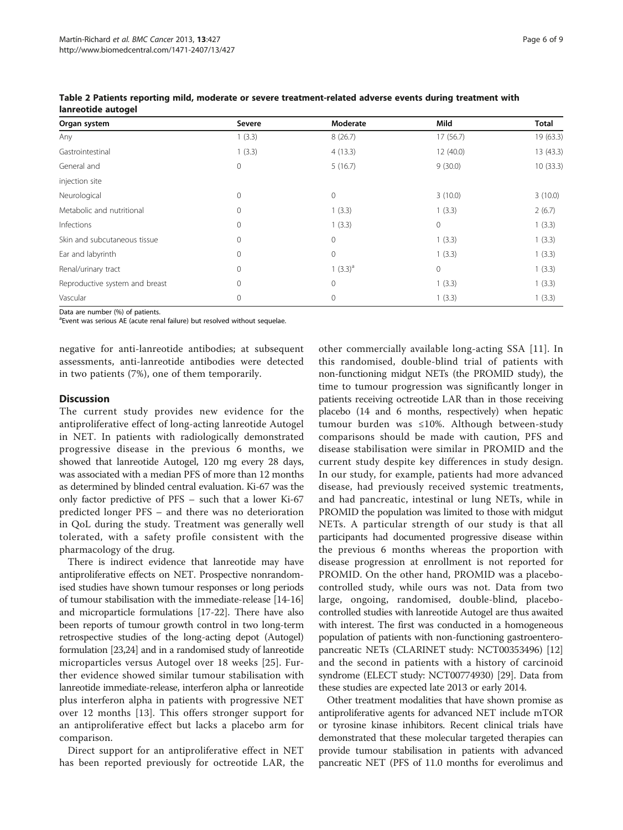| Organ system                   | Severe         | Moderate     | Mild        | <b>Total</b> |
|--------------------------------|----------------|--------------|-------------|--------------|
| Any                            | 1(3.3)         | 8(26.7)      | 17(56.7)    | 19 (63.3)    |
| Gastrointestinal               | 1(3.3)         | 4(13.3)      | 12 (40.0)   | 13 (43.3)    |
| General and                    | $\overline{0}$ | 5(16.7)      | 9(30.0)     | 10(33.3)     |
| injection site                 |                |              |             |              |
| Neurological                   | $\mathbf 0$    | $\mathbf{0}$ | 3(10.0)     | 3(10.0)      |
| Metabolic and nutritional      | $\mathbf{0}$   | 1(3.3)       | 1(3.3)      | 2(6.7)       |
| Infections                     | $\mathbf 0$    | 1(3.3)       | $\circ$     | 1(3.3)       |
| Skin and subcutaneous tissue   | $\mathbf{0}$   | $\mathbf{0}$ | 1(3.3)      | 1(3.3)       |
| Ear and labyrinth              | $\circ$        | $\mathbf{0}$ | 1(3.3)      | 1(3.3)       |
| Renal/urinary tract            | $\mathbf{0}$   | 1 $(3.3)^a$  | $\mathbf 0$ | 1(3.3)       |
| Reproductive system and breast | $\Omega$       | $\mathbf{0}$ | 1(3.3)      | 1(3.3)       |
| Vascular                       | $\mathbf 0$    | $\mathbf 0$  | 1(3.3)      | 1(3.3)       |

<span id="page-5-0"></span>Table 2 Patients reporting mild, moderate or severe treatment-related adverse events during treatment with lanreotide autogel

Data are number (%) of patients.

<sup>a</sup>Event was serious AE (acute renal failure) but resolved without sequelae.

negative for anti-lanreotide antibodies; at subsequent assessments, anti-lanreotide antibodies were detected in two patients (7%), one of them temporarily.

#### **Discussion**

The current study provides new evidence for the antiproliferative effect of long-acting lanreotide Autogel in NET. In patients with radiologically demonstrated progressive disease in the previous 6 months, we showed that lanreotide Autogel, 120 mg every 28 days, was associated with a median PFS of more than 12 months as determined by blinded central evaluation. Ki-67 was the only factor predictive of PFS – such that a lower Ki-67 predicted longer PFS – and there was no deterioration in QoL during the study. Treatment was generally well tolerated, with a safety profile consistent with the pharmacology of the drug.

There is indirect evidence that lanreotide may have antiproliferative effects on NET. Prospective nonrandomised studies have shown tumour responses or long periods of tumour stabilisation with the immediate-release [[14](#page-7-0)-[16](#page-7-0)] and microparticle formulations [\[17-22\]](#page-7-0). There have also been reports of tumour growth control in two long-term retrospective studies of the long-acting depot (Autogel) formulation [[23,24](#page-7-0)] and in a randomised study of lanreotide microparticles versus Autogel over 18 weeks [[25\]](#page-7-0). Further evidence showed similar tumour stabilisation with lanreotide immediate-release, interferon alpha or lanreotide plus interferon alpha in patients with progressive NET over 12 months [[13\]](#page-7-0). This offers stronger support for an antiproliferative effect but lacks a placebo arm for comparison.

Direct support for an antiproliferative effect in NET has been reported previously for octreotide LAR, the

other commercially available long-acting SSA [[11](#page-7-0)]. In this randomised, double-blind trial of patients with non-functioning midgut NETs (the PROMID study), the time to tumour progression was significantly longer in patients receiving octreotide LAR than in those receiving placebo (14 and 6 months, respectively) when hepatic tumour burden was ≤10%. Although between-study comparisons should be made with caution, PFS and disease stabilisation were similar in PROMID and the current study despite key differences in study design. In our study, for example, patients had more advanced disease, had previously received systemic treatments, and had pancreatic, intestinal or lung NETs, while in PROMID the population was limited to those with midgut NETs. A particular strength of our study is that all participants had documented progressive disease within the previous 6 months whereas the proportion with disease progression at enrollment is not reported for PROMID. On the other hand, PROMID was a placebocontrolled study, while ours was not. Data from two large, ongoing, randomised, double-blind, placebocontrolled studies with lanreotide Autogel are thus awaited with interest. The first was conducted in a homogeneous population of patients with non-functioning gastroenteropancreatic NETs (CLARINET study: NCT00353496) [[12](#page-7-0)] and the second in patients with a history of carcinoid syndrome (ELECT study: NCT00774930) [[29](#page-7-0)]. Data from these studies are expected late 2013 or early 2014.

Other treatment modalities that have shown promise as antiproliferative agents for advanced NET include mTOR or tyrosine kinase inhibitors. Recent clinical trials have demonstrated that these molecular targeted therapies can provide tumour stabilisation in patients with advanced pancreatic NET (PFS of 11.0 months for everolimus and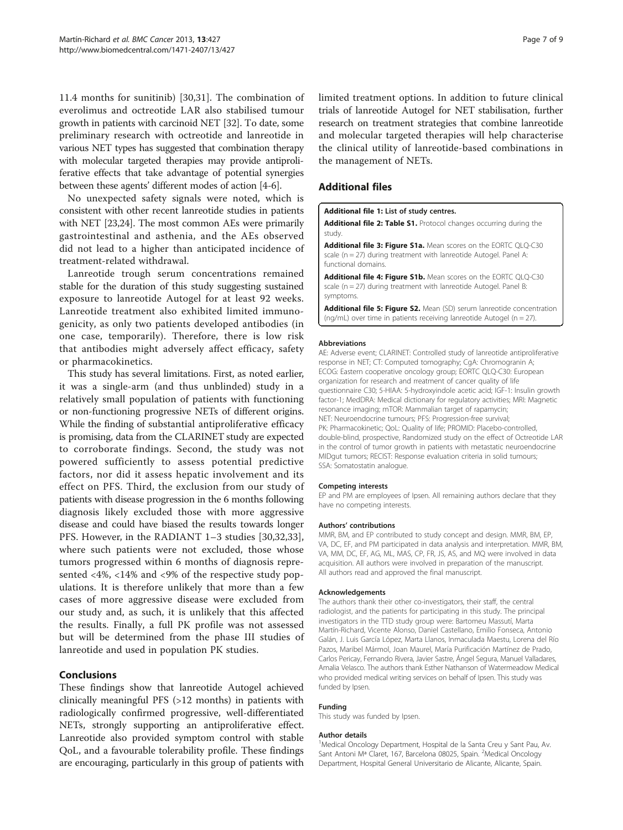<span id="page-6-0"></span>11.4 months for sunitinib) [[30](#page-7-0)[,31](#page-8-0)]. The combination of everolimus and octreotide LAR also stabilised tumour growth in patients with carcinoid NET [[32](#page-8-0)]. To date, some preliminary research with octreotide and lanreotide in various NET types has suggested that combination therapy with molecular targeted therapies may provide antiproliferative effects that take advantage of potential synergies between these agents' different modes of action [\[4-6](#page-7-0)].

No unexpected safety signals were noted, which is consistent with other recent lanreotide studies in patients with NET [[23,24\]](#page-7-0). The most common AEs were primarily gastrointestinal and asthenia, and the AEs observed did not lead to a higher than anticipated incidence of treatment-related withdrawal.

Lanreotide trough serum concentrations remained stable for the duration of this study suggesting sustained exposure to lanreotide Autogel for at least 92 weeks. Lanreotide treatment also exhibited limited immunogenicity, as only two patients developed antibodies (in one case, temporarily). Therefore, there is low risk that antibodies might adversely affect efficacy, safety or pharmacokinetics.

This study has several limitations. First, as noted earlier, it was a single-arm (and thus unblinded) study in a relatively small population of patients with functioning or non-functioning progressive NETs of different origins. While the finding of substantial antiproliferative efficacy is promising, data from the CLARINET study are expected to corroborate findings. Second, the study was not powered sufficiently to assess potential predictive factors, nor did it assess hepatic involvement and its effect on PFS. Third, the exclusion from our study of patients with disease progression in the 6 months following diagnosis likely excluded those with more aggressive disease and could have biased the results towards longer PFS. However, in the RADIANT 1–3 studies [[30,](#page-7-0)[32,33](#page-8-0)], where such patients were not excluded, those whose tumors progressed within 6 months of diagnosis represented <4%, <14% and <9% of the respective study populations. It is therefore unlikely that more than a few cases of more aggressive disease were excluded from our study and, as such, it is unlikely that this affected the results. Finally, a full PK profile was not assessed but will be determined from the phase III studies of lanreotide and used in population PK studies.

## **Conclusions**

These findings show that lanreotide Autogel achieved clinically meaningful PFS (>12 months) in patients with radiologically confirmed progressive, well-differentiated NETs, strongly supporting an antiproliferative effect. Lanreotide also provided symptom control with stable QoL, and a favourable tolerability profile. These findings are encouraging, particularly in this group of patients with limited treatment options. In addition to future clinical trials of lanreotide Autogel for NET stabilisation, further research on treatment strategies that combine lanreotide and molecular targeted therapies will help characterise the clinical utility of lanreotide-based combinations in the management of NETs.

## Additional files

#### [Additional file 1:](http://www.biomedcentral.com/content/supplementary/1471-2407-13-427-S1.docx) List of study centres.

[Additional file 2: Table S1.](http://www.biomedcentral.com/content/supplementary/1471-2407-13-427-S2.docx) Protocol changes occurring during the study.

[Additional file 3: Figure S1a.](http://www.biomedcentral.com/content/supplementary/1471-2407-13-427-S3.zip) Mean scores on the EORTC QLQ-C30 scale (n = 27) during treatment with lanreotide Autogel. Panel A: functional domains.

[Additional file 4: Figure S1b.](http://www.biomedcentral.com/content/supplementary/1471-2407-13-427-S4.zip) Mean scores on the EORTC QLQ-C30 scale (n = 27) during treatment with lanreotide Autogel. Panel B: symptoms.

[Additional file 5: Figure S2.](http://www.biomedcentral.com/content/supplementary/1471-2407-13-427-S5.zip) Mean (SD) serum lanreotide concentration (ng/mL) over time in patients receiving lanreotide Autogel (n = 27).

#### Abbreviations

AE: Adverse event; CLARINET: Controlled study of lanreotide antiproliferative response in NET; CT: Computed tomography; CgA: Chromogranin A; ECOG: Eastern cooperative oncology group; EORTC QLQ-C30: European organization for research and rreatment of cancer quality of life questionnaire C30; 5-HIAA: 5-hydroxyindole acetic acid; IGF-1: Insulin growth factor-1; MedDRA: Medical dictionary for regulatory activities; MRI: Magnetic resonance imaging; mTOR: Mammalian target of rapamycin; NET: Neuroendocrine tumours; PFS: Progression-free survival; PK: Pharmacokinetic; QoL: Quality of life; PROMID: Placebo-controlled, double-blind, prospective, Randomized study on the effect of Octreotide LAR in the control of tumor growth in patients with metastatic neuroendocrine MIDgut tumors; RECIST: Response evaluation criteria in solid tumours; SSA: Somatostatin analogue.

#### Competing interests

EP and PM are employees of Ipsen. All remaining authors declare that they have no competing interests.

#### Authors' contributions

MMR, BM, and EP contributed to study concept and design. MMR, BM, EP, VA, DC, EF, and PM participated in data analysis and interpretation. MMR, BM, VA, MM, DC, EF, AG, ML, MAS, CP, FR, JS, AS, and MQ were involved in data acquisition. All authors were involved in preparation of the manuscript. All authors read and approved the final manuscript.

#### Acknowledgements

The authors thank their other co-investigators, their staff, the central radiologist, and the patients for participating in this study. The principal investigators in the TTD study group were: Bartomeu Massutí, Marta Martín-Richard, Vicente Alonso, Daniel Castellano, Emilio Fonseca, Antonio Galán, J. Luis García López, Marta Llanos, Inmaculada Maestu, Lorena del Río Pazos, Maribel Mármol, Joan Maurel, María Purificación Martínez de Prado, Carlos Pericay, Fernando Rivera, Javier Sastre, Ángel Segura, Manuel Valladares, Amalia Velasco. The authors thank Esther Nathanson of Watermeadow Medical who provided medical writing services on behalf of Ipsen. This study was funded by Ipsen.

#### Funding

This study was funded by Ipsen.

#### Author details

<sup>1</sup>Medical Oncology Department, Hospital de la Santa Creu y Sant Pau, Av. Sant Antoni M<sup>a</sup> Claret, 167, Barcelona 08025, Spain. <sup>2</sup>Medical Oncology Department, Hospital General Universitario de Alicante, Alicante, Spain.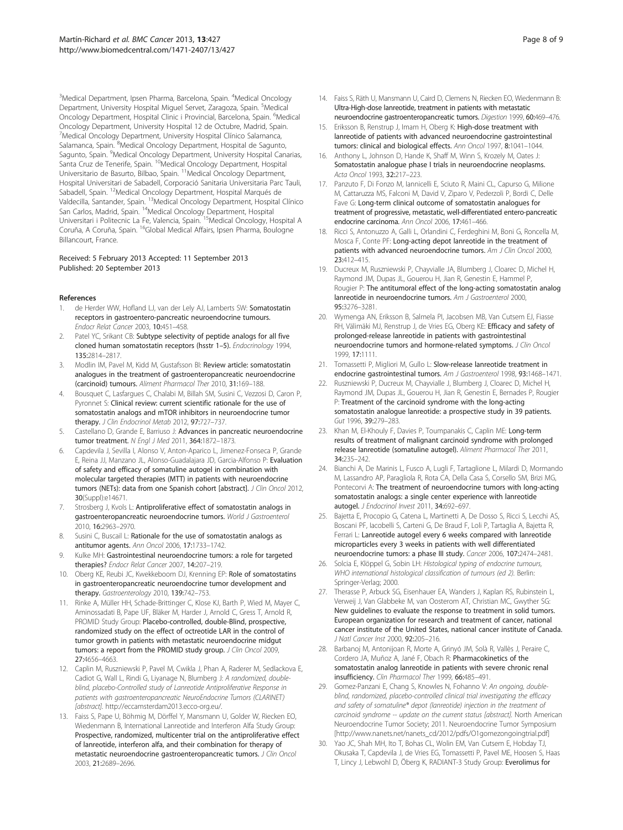<span id="page-7-0"></span><sup>3</sup>Medical Department, Ipsen Pharma, Barcelona, Spain. <sup>4</sup>Medical Oncology Department, University Hospital Miguel Servet, Zaragoza, Spain. <sup>5</sup>Medical Oncology Department, Hospital Clinic i Provincial, Barcelona, Spain. <sup>6</sup>Medical Oncology Department, University Hospital 12 de Octubre, Madrid, Spain. 7 Medical Oncology Department, University Hospital Clínico Salamanca, Salamanca, Spain. <sup>8</sup>Medical Oncology Department, Hospital de Sagunto, Sagunto, Spain. <sup>9</sup>Medical Oncology Department, University Hospital Canarias, Santa Cruz de Tenerife, Spain. 10Medical Oncology Department, Hospital Universitario de Basurto, Bilbao, Spain. <sup>11</sup>Medical Oncology Department, Hospital Universitari de Sabadell, Corporació Sanitaria Universitaria Parc Tauli, Sabadell, Spain. 12Medical Oncology Department, Hospital Marqués de Valdecilla, Santander, Spain. 13Medical Oncology Department, Hospital Clínico San Carlos, Madrid, Spain. <sup>14</sup>Medical Oncology Department, Hospital Universitari i Politecnic La Fe, Valencia, Spain. <sup>15</sup>Medical Oncology, Hospital A Coruña, A Coruña, Spain. 16Global Medical Affairs, Ipsen Pharma, Boulogne Billancourt, France.

#### Received: 5 February 2013 Accepted: 11 September 2013 Published: 20 September 2013

#### References

- de Herder WW, Hofland LJ, van der Lely AJ, Lamberts SW: Somatostatin receptors in gastroentero-pancreatic neuroendocrine tumours. Endocr Relat Cancer 2003, 10:451–458.
- Patel YC, Srikant CB: Subtype selectivity of peptide analogs for all five cloned human somatostatin receptors (hsstr 1–5). Endocrinology 1994, 135:2814–2817.
- Modlin IM, Pavel M, Kidd M, Gustafsson BI: Review article: somatostatin analogues in the treatment of gastroenteropancreatic neuroendocrine (carcinoid) tumours. Aliment Pharmacol Ther 2010, 31:169–188.
- 4. Bousquet C, Lasfargues C, Chalabi M, Billah SM, Susini C, Vezzosi D, Caron P, Pyronnet S: Clinical review: current scientific rationale for the use of somatostatin analogs and mTOR inhibitors in neuroendocrine tumor therapy. J Clin Endocrinol Metab 2012, 97:727-737.
- 5. Castellano D, Grande E, Barriuso J: Advances in pancreatic neuroendocrine tumor treatment. N Engl J Med 2011, 364:1872–1873.
- 6. Capdevila J, Sevilla I, Alonso V, Anton-Aparico L, Jimenez-Fonseca P, Grande E, Reina JJ, Manzano JL, Alonso-Guadalajara JD, Garcia-Alfonso P: Evaluation of safety and efficacy of somatuline autogel in combination with molecular targeted therapies (MTT) in patients with neuroendocrine tumors (NETs): data from one Spanish cohort [abstract]. J Clin Oncol 2012, 30(Suppl):e14671.
- 7. Strosberg J, Kvols L: Antiproliferative effect of somatostatin analogs in gastroenteropancreatic neuroendocrine tumors. World J Gastroenterol 2010, 16:2963–2970.
- Susini C, Buscail L: Rationale for the use of somatostatin analogs as antitumor agents. Ann Oncol 2006, 17:1733–1742.
- 9. Kulke MH: Gastrointestinal neuroendocrine tumors: a role for targeted therapies? Endocr Relat Cancer 2007, 14:207–219.
- 10. Oberg KE, Reubi JC, Kwekkeboom DJ, Krenning EP: Role of somatostatins in gastroenteropancreatic neuroendocrine tumor development and therapy. Gastroenterology 2010, 139:742-753.
- 11. Rinke A, Müller HH, Schade-Brittinger C, Klose KJ, Barth P, Wied M, Mayer C, Aminossadati B, Pape UF, Bläker M, Harder J, Arnold C, Gress T, Arnold R, PROMID Study Group: Placebo-controlled, double-Blind, prospective, randomized study on the effect of octreotide LAR in the control of tumor growth in patients with metastatic neuroendocrine midgut tumors: a report from the PROMID study group. J Clin Oncol 2009, 27:4656–4663.
- 12. Caplin M, Ruszniewski P, Pavel M, Cwikla J, Phan A, Raderer M, Sedlackova E, Cadiot G, Wall L, Rindi G, Liyanage N, Blumberg J: A randomized, doubleblind, placebo-Controlled study of Lanreotide Antiproliferative Response in patients with gastroenteropancreatic NeuroEndocrine Tumors (CLARINET) [abstract]. <http://eccamsterdam2013.ecco-org.eu/>.
- 13. Faiss S, Pape U, Böhmig M, Dörffel Y, Mansmann U, Golder W, Riecken EO, Wiedenmann B, International Lanreotide and Interferon Alfa Study Group: Prospective, randomized, multicenter trial on the antiproliferative effect of lanreotide, interferon alfa, and their combination for therapy of metastatic neuroendocrine gastroenteropancreatic tumors. J Clin Oncol 2003, 21:2689–2696.
- 
- 14. Faiss S, Räth U, Mansmann U, Caird D, Clemens N, Riecken EO, Wiedenmann B: Ultra-High-dose lanreotide, treatment in patients with metastatic neuroendocrine gastroenteropancreatic tumors. Digestion 1999, 60:469–476.
- 15. Eriksson B, Renstrup J, Imam H, Oberg K: High-dose treatment with lanreotide of patients with advanced neuroendocrine gastrointestinal tumors: clinical and biological effects. Ann Oncol 1997, 8:1041-1044.
- 16. Anthony L, Johnson D, Hande K, Shaff M, Winn S, Krozely M, Oates J: Somatostatin analogue phase I trials in neuroendocrine neoplasms. Acta Oncol 1993, 32:217–223.
- 17. Panzuto F, Di Fonzo M, Iannicelli E, Sciuto R, Maini CL, Capurso G, Milione M, Cattaruzza MS, Falconi M, David V, Ziparo V, Pederzoli P, Bordi C, Delle Fave G: Long-term clinical outcome of somatostatin analogues for treatment of progressive, metastatic, well-differentiated entero-pancreatic endocrine carcinoma. Ann Oncol 2006, 17:461–466.
- 18. Ricci S, Antonuzzo A, Galli L, Orlandini C, Ferdeghini M, Boni G, Roncella M, Mosca F, Conte PF: Long-acting depot lanreotide in the treatment of patients with advanced neuroendocrine tumors. Am J Clin Oncol 2000, 23:412–415.
- 19. Ducreux M, Ruszniewski P, Chayvialle JA, Blumberg J, Cloarec D, Michel H, Raymond JM, Dupas JL, Gouerou H, Jian R, Genestin E, Hammel P, Rougier P: The antitumoral effect of the long-acting somatostatin analog lanreotide in neuroendocrine tumors. Am J Gastroenterol 2000, 95:3276–3281.
- 20. Wymenga AN, Eriksson B, Salmela PI, Jacobsen MB, Van Cutsem EJ, Fiasse RH, Välimäki MJ, Renstrup J, de Vries EG, Oberg KE: Efficacy and safety of prolonged-release lanreotide in patients with gastrointestinal neuroendocrine tumors and hormone-related symptoms. J Clin Oncol 1999, 17:1111.
- 21. Tomassetti P, Migliori M, Gullo L: Slow-release lanreotide treatment in endocrine gastrointestinal tumors. Am J Gastroenterol 1998, 93:1468-1471.
- 22. Ruszniewski P, Ducreux M, Chayvialle J, Blumberg J, Cloarec D, Michel H, Raymond JM, Dupas JL, Gouerou H, Jian R, Genestin E, Bernades P, Rougier P: Treatment of the carcinoid syndrome with the long-acting somatostatin analogue lanreotide: a prospective study in 39 patients. Gut 1996, 39:279–283.
- 23. Khan M, El-Khouly F, Davies P, Toumpanakis C, Caplin ME: Long-term results of treatment of malignant carcinoid syndrome with prolonged release lanreotide (somatuline autogel). Aliment Pharmacol Ther 2011, 34:235–242.
- 24. Bianchi A, De Marinis L, Fusco A, Lugli F, Tartaglione L, Milardi D, Mormando M, Lassandro AP, Paragliola R, Rota CA, Della Casa S, Corsello SM, Brizi MG, Pontecorvi A: The treatment of neuroendocrine tumors with long-acting somatostatin analogs: a single center experience with lanreotide autogel. J Endocrinol Invest 2011, 34:692–697.
- 25. Bajetta E, Procopio G, Catena L, Martinetti A, De Dosso S, Ricci S, Lecchi AS, Boscani PF, Iacobelli S, Carteni G, De Braud F, Loli P, Tartaglia A, Bajetta R, Ferrari L: Lanreotide autogel every 6 weeks compared with lanreotide microparticles every 3 weeks in patients with well differentiated neuroendocrine tumors: a phase III study. Cancer 2006, 107:2474–2481.
- 26. Solcia E, Klöppel G, Sobin LH: Histological typing of endocrine tumours, WHO international histological classification of tumours (ed 2). Berlin: Springer-Verlag; 2000.
- 27. Therasse P, Arbuck SG, Eisenhauer EA, Wanders J, Kaplan RS, Rubinstein L, Verweij J, Van Glabbeke M, van Oosterom AT, Christian MC, Gwyther SG: New guidelines to evaluate the response to treatment in solid tumors. European organization for research and treatment of cancer, national cancer institute of the United States, national cancer institute of Canada. J Natl Cancer Inst 2000, 92:205-216.
- 28. Barbanoj M, Antonijoan R, Morte A, Grinyó JM, Solà R, Vallès J, Peraire C, Cordero JA, Muñoz A, Jané F, Obach R: Pharmacokinetics of the somatostatin analog lanreotide in patients with severe chronic renal insufficiency. Clin Pharmacol Ther 1999, 66:485–491.
- 29. Gomez-Panzani E, Chang S, Knowles N, Fohanno V: An ongoing, doubleblind, randomized, placebo-controlled clinical trial investigating the efficacy and safety of somatuline® depot (lanreotide) injection in the treatment of carcinoid syndrome -- update on the current status [abstract]. North American Neuroendocrine Tumor Society; 2011. Neuroendocrine Tumor Symposium [[http://www.nanets.net/nanets\\_cd/2012/pdfs/O1gomezongoingtrial.pdf\]](http://www.nanets.net/nanets_cd/2012/pdfs/O1gomezongoingtrial.pdf)
- 30. Yao JC, Shah MH, Ito T, Bohas CL, Wolin EM, Van Cutsem E, Hobday TJ, Okusaka T, Capdevila J, de Vries EG, Tomassetti P, Pavel ME, Hoosen S, Haas T, Lincy J, Lebwohl D, Öberg K, RADIANT-3 Study Group: Everolimus for